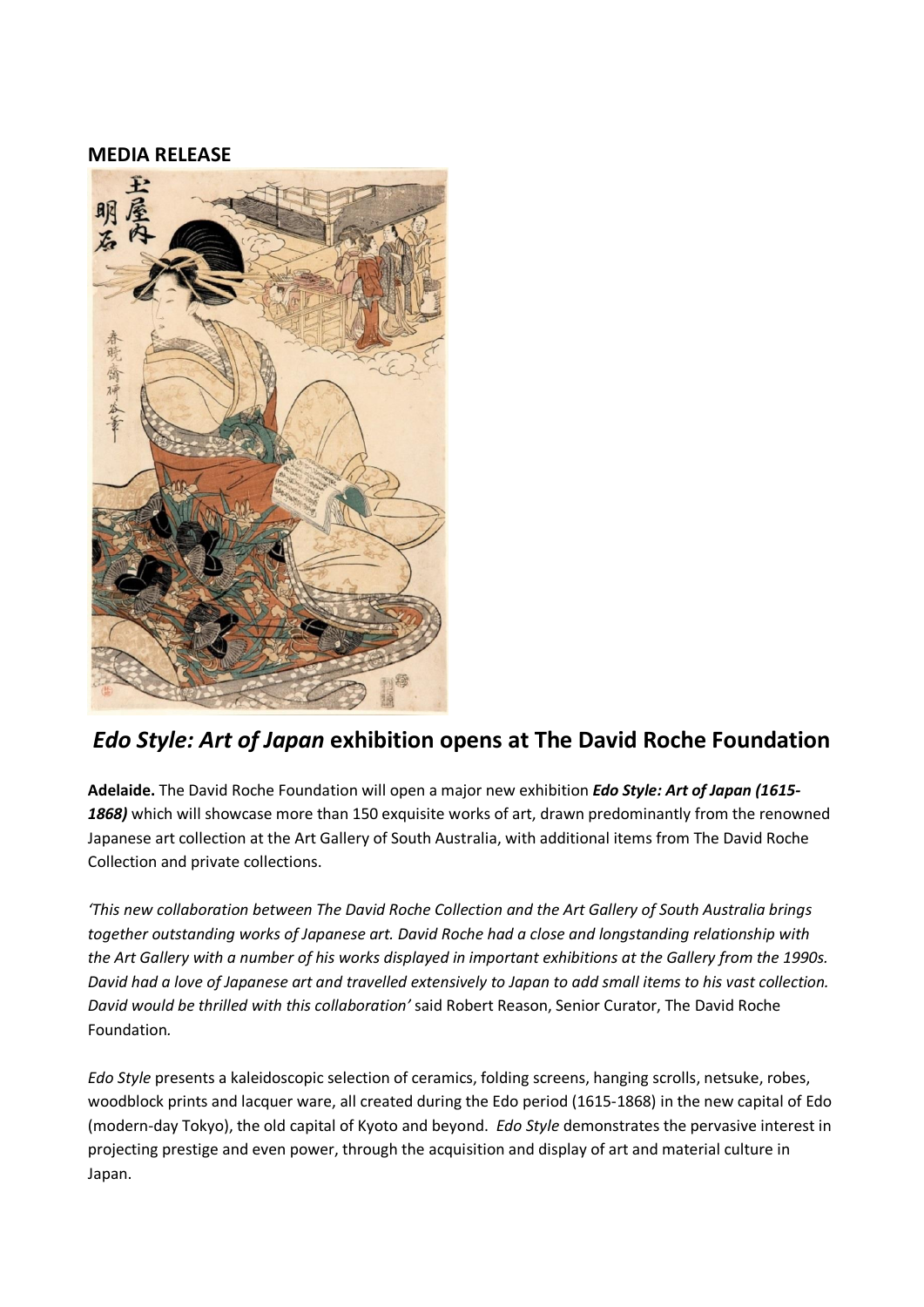## **MEDIA RELEASE**



## *Edo Style: Art of Japan* **exhibition opens at The David Roche Foundation**

**Adelaide.** The David Roche Foundation will open a major new exhibition *Edo Style: Art of Japan (1615- 1868)* which will showcase more than 150 exquisite works of art, drawn predominantly from the renowned Japanese art collection at the Art Gallery of South Australia, with additional items from The David Roche Collection and private collections.

*'This new collaboration between The David Roche Collection and the Art Gallery of South Australia brings together outstanding works of Japanese art. David Roche had a close and longstanding relationship with* the Art Gallery with a number of his works displayed in important exhibitions at the Gallery from the 1990s. David had a love of Japanese art and travelled extensively to Japan to add small items to his vast collection. *David would be thrilled with this collaboration'* said Robert Reason, Senior Curator, The David Roche Foundation*.*

*Edo Style* presents a kaleidoscopic selection of ceramics, folding screens, hanging scrolls, netsuke, robes, woodblock prints and lacquer ware, all created during the Edo period (1615-1868) in the new capital of Edo (modern-day Tokyo), the old capital of Kyoto and beyond. *Edo Style* demonstrates the pervasive interest in projecting prestige and even power, through the acquisition and display of art and material culture in Japan.